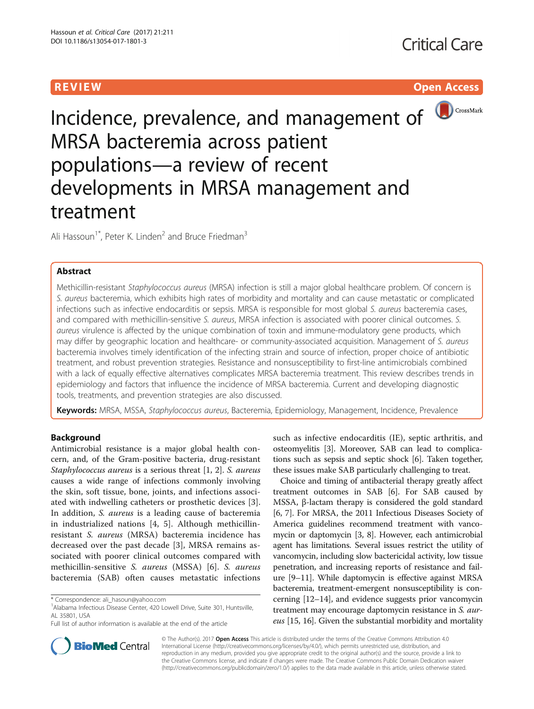# **REVIEW CONSTRUCTION CONSTRUCTION CONSTRUCTS**



# Incidence, prevalence, and management of **O**CrossMark MRSA bacteremia across patient populations—a review of recent developments in MRSA management and treatment

Ali Hassoun<sup>1\*</sup>, Peter K. Linden<sup>2</sup> and Bruce Friedman<sup>3</sup>

# Abstract

Methicillin-resistant Staphylococcus aureus (MRSA) infection is still a major global healthcare problem. Of concern is S. aureus bacteremia, which exhibits high rates of morbidity and mortality and can cause metastatic or complicated infections such as infective endocarditis or sepsis. MRSA is responsible for most global S. aureus bacteremia cases, and compared with methicillin-sensitive S. aureus, MRSA infection is associated with poorer clinical outcomes. S. aureus virulence is affected by the unique combination of toxin and immune-modulatory gene products, which may differ by geographic location and healthcare- or community-associated acquisition. Management of S. aureus bacteremia involves timely identification of the infecting strain and source of infection, proper choice of antibiotic treatment, and robust prevention strategies. Resistance and nonsusceptibility to first-line antimicrobials combined with a lack of equally effective alternatives complicates MRSA bacteremia treatment. This review describes trends in epidemiology and factors that influence the incidence of MRSA bacteremia. Current and developing diagnostic tools, treatments, and prevention strategies are also discussed.

Keywords: MRSA, MSSA, Staphylococcus aureus, Bacteremia, Epidemiology, Management, Incidence, Prevalence

# Background

Antimicrobial resistance is a major global health concern, and, of the Gram-positive bacteria, drug-resistant Staphylococcus aureus is a serious threat [[1, 2\]](#page-7-0). S. aureus causes a wide range of infections commonly involving the skin, soft tissue, bone, joints, and infections associated with indwelling catheters or prosthetic devices [\[3](#page-7-0)]. In addition, S. aureus is a leading cause of bacteremia in industrialized nations [\[4](#page-7-0), [5](#page-7-0)]. Although methicillinresistant S. aureus (MRSA) bacteremia incidence has decreased over the past decade [\[3](#page-7-0)], MRSA remains associated with poorer clinical outcomes compared with methicillin-sensitive S. aureus (MSSA) [[6](#page-7-0)]. S. aureus bacteremia (SAB) often causes metastatic infections

such as infective endocarditis (IE), septic arthritis, and osteomyelitis [\[3](#page-7-0)]. Moreover, SAB can lead to complications such as sepsis and septic shock [[6](#page-7-0)]. Taken together, these issues make SAB particularly challenging to treat.

Choice and timing of antibacterial therapy greatly affect treatment outcomes in SAB [\[6\]](#page-7-0). For SAB caused by MSSA, β-lactam therapy is considered the gold standard [[6, 7\]](#page-7-0). For MRSA, the 2011 Infectious Diseases Society of America guidelines recommend treatment with vancomycin or daptomycin [[3, 8](#page-7-0)]. However, each antimicrobial agent has limitations. Several issues restrict the utility of vancomycin, including slow bactericidal activity, low tissue penetration, and increasing reports of resistance and failure [[9](#page-7-0)–[11](#page-7-0)]. While daptomycin is effective against MRSA bacteremia, treatment-emergent nonsusceptibility is concerning [\[12](#page-7-0)–[14](#page-8-0)], and evidence suggests prior vancomycin treatment may encourage daptomycin resistance in S. aur-eus [\[15, 16](#page-8-0)]. Given the substantial morbidity and mortality



© The Author(s). 2017 **Open Access** This article is distributed under the terms of the Creative Commons Attribution 4.0 International License [\(http://creativecommons.org/licenses/by/4.0/](http://creativecommons.org/licenses/by/4.0/)), which permits unrestricted use, distribution, and reproduction in any medium, provided you give appropriate credit to the original author(s) and the source, provide a link to the Creative Commons license, and indicate if changes were made. The Creative Commons Public Domain Dedication waiver [\(http://creativecommons.org/publicdomain/zero/1.0/](http://creativecommons.org/publicdomain/zero/1.0/)) applies to the data made available in this article, unless otherwise stated.

<sup>\*</sup> Correspondence: [ali\\_hasoun@yahoo.com](mailto:ali_hasoun@yahoo.com) <sup>1</sup>

<sup>&</sup>lt;sup>1</sup> Alabama Infectious Disease Center, 420 Lowell Drive, Suite 301, Huntsville, AL 35801, USA

Full list of author information is available at the end of the article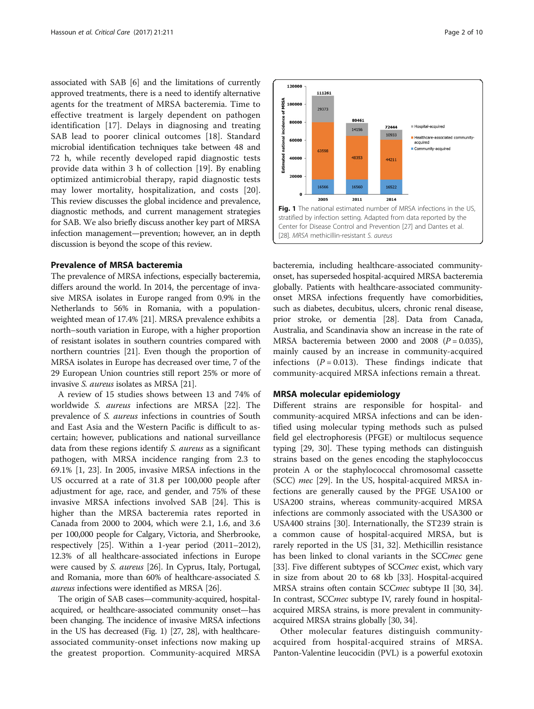associated with SAB [[6\]](#page-7-0) and the limitations of currently approved treatments, there is a need to identify alternative agents for the treatment of MRSA bacteremia. Time to effective treatment is largely dependent on pathogen identification [\[17\]](#page-8-0). Delays in diagnosing and treating SAB lead to poorer clinical outcomes [[18\]](#page-8-0). Standard microbial identification techniques take between 48 and 72 h, while recently developed rapid diagnostic tests provide data within 3 h of collection [[19\]](#page-8-0). By enabling optimized antimicrobial therapy, rapid diagnostic tests may lower mortality, hospitalization, and costs [\[20](#page-8-0)]. This review discusses the global incidence and prevalence, diagnostic methods, and current management strategies for SAB. We also briefly discuss another key part of MRSA infection management—prevention; however, an in depth discussion is beyond the scope of this review.

# Prevalence of MRSA bacteremia

The prevalence of MRSA infections, especially bacteremia, differs around the world. In 2014, the percentage of invasive MRSA isolates in Europe ranged from 0.9% in the Netherlands to 56% in Romania, with a populationweighted mean of 17.4% [[21](#page-8-0)]. MRSA prevalence exhibits a north–south variation in Europe, with a higher proportion of resistant isolates in southern countries compared with northern countries [\[21\]](#page-8-0). Even though the proportion of MRSA isolates in Europe has decreased over time, 7 of the 29 European Union countries still report 25% or more of invasive S. aureus isolates as MRSA [\[21\]](#page-8-0).

A review of 15 studies shows between 13 and 74% of worldwide S. aureus infections are MRSA [\[22\]](#page-8-0). The prevalence of S. aureus infections in countries of South and East Asia and the Western Pacific is difficult to ascertain; however, publications and national surveillance data from these regions identify S. aureus as a significant pathogen, with MRSA incidence ranging from 2.3 to 69.1% [\[1](#page-7-0), [23](#page-8-0)]. In 2005, invasive MRSA infections in the US occurred at a rate of 31.8 per 100,000 people after adjustment for age, race, and gender, and 75% of these invasive MRSA infections involved SAB [[24](#page-8-0)]. This is higher than the MRSA bacteremia rates reported in Canada from 2000 to 2004, which were 2.1, 1.6, and 3.6 per 100,000 people for Calgary, Victoria, and Sherbrooke, respectively [[25](#page-8-0)]. Within a 1-year period (2011–2012), 12.3% of all healthcare-associated infections in Europe were caused by S. aureus [[26](#page-8-0)]. In Cyprus, Italy, Portugal, and Romania, more than 60% of healthcare-associated S. aureus infections were identified as MRSA [\[26\]](#page-8-0).

The origin of SAB cases—community-acquired, hospitalacquired, or healthcare-associated community onset—has been changing. The incidence of invasive MRSA infections in the US has decreased (Fig. 1) [\[27](#page-8-0), [28](#page-8-0)], with healthcareassociated community-onset infections now making up the greatest proportion. Community-acquired MRSA



60000 Community-acquired 6359 ř 48353 40000 44211 20000 16566 16560 16522 2005 2011 2014 Fig. 1 The national estimated number of MRSA infections in the US, stratified by infection setting. Adapted from data reported by the Center for Disease Control and Prevention [[27](#page-8-0)] and Dantes et al. [[28](#page-8-0)]. MRSA methicillin-resistant S. aureus

120000

80000

29373

ADSA 100000

bacteremia, including healthcare-associated communityonset, has superseded hospital-acquired MRSA bacteremia globally. Patients with healthcare-associated communityonset MRSA infections frequently have comorbidities, such as diabetes, decubitus, ulcers, chronic renal disease, prior stroke, or dementia [\[28\]](#page-8-0). Data from Canada, Australia, and Scandinavia show an increase in the rate of MRSA bacteremia between 2000 and 2008  $(P = 0.035)$ , mainly caused by an increase in community-acquired infections  $(P = 0.013)$ . These findings indicate that community-acquired MRSA infections remain a threat.

### MRSA molecular epidemiology

Different strains are responsible for hospital- and community-acquired MRSA infections and can be identified using molecular typing methods such as pulsed field gel electrophoresis (PFGE) or multilocus sequence typing [\[29](#page-8-0), [30\]](#page-8-0). These typing methods can distinguish strains based on the genes encoding the staphylococcus protein A or the staphylococcal chromosomal cassette (SCC) mec [[29\]](#page-8-0). In the US, hospital-acquired MRSA infections are generally caused by the PFGE USA100 or USA200 strains, whereas community-acquired MRSA infections are commonly associated with the USA300 or USA400 strains [\[30](#page-8-0)]. Internationally, the ST239 strain is a common cause of hospital-acquired MRSA, but is rarely reported in the US [\[31](#page-8-0), [32\]](#page-8-0). Methicillin resistance has been linked to clonal variants in the SCCmec gene [[33\]](#page-8-0). Five different subtypes of SCCmec exist, which vary in size from about 20 to 68 kb [\[33\]](#page-8-0). Hospital-acquired MRSA strains often contain SCCmec subtype II [\[30, 34](#page-8-0)]. In contrast, SCCmec subtype IV, rarely found in hospitalacquired MRSA strains, is more prevalent in communityacquired MRSA strains globally [\[30](#page-8-0), [34](#page-8-0)].

Other molecular features distinguish communityacquired from hospital-acquired strains of MRSA. Panton-Valentine leucocidin (PVL) is a powerful exotoxin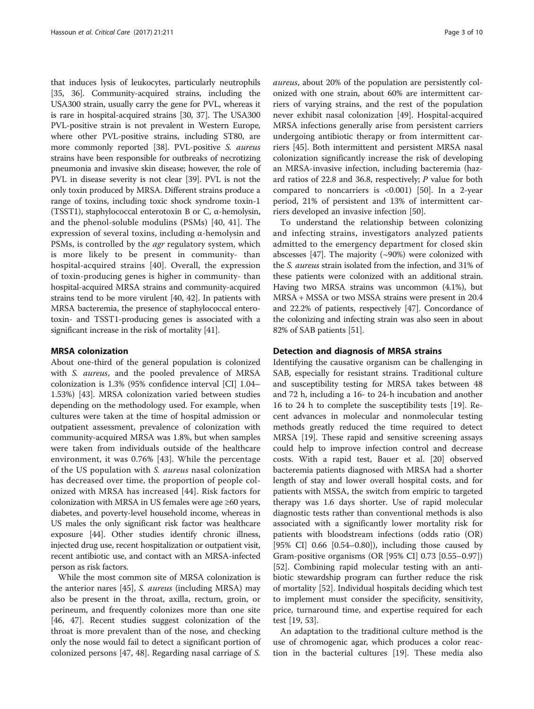that induces lysis of leukocytes, particularly neutrophils [[35](#page-8-0), [36](#page-8-0)]. Community-acquired strains, including the USA300 strain, usually carry the gene for PVL, whereas it is rare in hospital-acquired strains [[30](#page-8-0), [37\]](#page-8-0). The USA300 PVL-positive strain is not prevalent in Western Europe, where other PVL-positive strains, including ST80, are more commonly reported [\[38\]](#page-8-0). PVL-positive S. aureus strains have been responsible for outbreaks of necrotizing pneumonia and invasive skin disease; however, the role of PVL in disease severity is not clear [[39\]](#page-8-0). PVL is not the only toxin produced by MRSA. Different strains produce a range of toxins, including toxic shock syndrome toxin-1 (TSST1), staphylococcal enterotoxin B or C, α-hemolysin, and the phenol-soluble modulins (PSMs) [[40, 41\]](#page-8-0). The expression of several toxins, including α-hemolysin and PSMs, is controlled by the *agr* regulatory system, which is more likely to be present in community- than hospital-acquired strains [[40](#page-8-0)]. Overall, the expression of toxin-producing genes is higher in community- than hospital-acquired MRSA strains and community-acquired strains tend to be more virulent [\[40, 42\]](#page-8-0). In patients with MRSA bacteremia, the presence of staphylococcal enterotoxin- and TSST1-producing genes is associated with a significant increase in the risk of mortality [\[41\]](#page-8-0).

# MRSA colonization

About one-third of the general population is colonized with *S. aureus*, and the pooled prevalence of MRSA colonization is 1.3% (95% confidence interval [CI] 1.04– 1.53%) [[43\]](#page-8-0). MRSA colonization varied between studies depending on the methodology used. For example, when cultures were taken at the time of hospital admission or outpatient assessment, prevalence of colonization with community-acquired MRSA was 1.8%, but when samples were taken from individuals outside of the healthcare environment, it was 0.76% [\[43\]](#page-8-0). While the percentage of the US population with S. aureus nasal colonization has decreased over time, the proportion of people colonized with MRSA has increased [[44](#page-8-0)]. Risk factors for colonization with MRSA in US females were age ≥60 years, diabetes, and poverty-level household income, whereas in US males the only significant risk factor was healthcare exposure [[44](#page-8-0)]. Other studies identify chronic illness, injected drug use, recent hospitalization or outpatient visit, recent antibiotic use, and contact with an MRSA-infected person as risk factors.

While the most common site of MRSA colonization is the anterior nares [\[45](#page-8-0)], S. aureus (including MRSA) may also be present in the throat, axilla, rectum, groin, or perineum, and frequently colonizes more than one site [[46, 47](#page-8-0)]. Recent studies suggest colonization of the throat is more prevalent than of the nose, and checking only the nose would fail to detect a significant portion of colonized persons [\[47](#page-8-0), [48](#page-8-0)]. Regarding nasal carriage of S.

aureus, about 20% of the population are persistently colonized with one strain, about 60% are intermittent carriers of varying strains, and the rest of the population never exhibit nasal colonization [\[49\]](#page-8-0). Hospital-acquired MRSA infections generally arise from persistent carriers undergoing antibiotic therapy or from intermittent carriers [[45\]](#page-8-0). Both intermittent and persistent MRSA nasal colonization significantly increase the risk of developing an MRSA-invasive infection, including bacteremia (hazard ratios of 22.8 and 36.8, respectively; P value for both compared to noncarriers is <0.001) [\[50\]](#page-8-0). In a 2-year period, 21% of persistent and 13% of intermittent carriers developed an invasive infection [[50\]](#page-8-0).

To understand the relationship between colonizing and infecting strains, investigators analyzed patients admitted to the emergency department for closed skin abscesses [[47](#page-8-0)]. The majority  $(\sim 90\%)$  were colonized with the S. aureus strain isolated from the infection, and 31% of these patients were colonized with an additional strain. Having two MRSA strains was uncommon (4.1%), but MRSA + MSSA or two MSSA strains were present in 20.4 and 22.2% of patients, respectively [[47](#page-8-0)]. Concordance of the colonizing and infecting strain was also seen in about 82% of SAB patients [\[51](#page-8-0)].

# Detection and diagnosis of MRSA strains

Identifying the causative organism can be challenging in SAB, especially for resistant strains. Traditional culture and susceptibility testing for MRSA takes between 48 and 72 h, including a 16- to 24-h incubation and another 16 to 24 h to complete the susceptibility tests [[19](#page-8-0)]. Recent advances in molecular and nonmolecular testing methods greatly reduced the time required to detect MRSA [\[19](#page-8-0)]. These rapid and sensitive screening assays could help to improve infection control and decrease costs. With a rapid test, Bauer et al. [[20\]](#page-8-0) observed bacteremia patients diagnosed with MRSA had a shorter length of stay and lower overall hospital costs, and for patients with MSSA, the switch from empiric to targeted therapy was 1.6 days shorter. Use of rapid molecular diagnostic tests rather than conventional methods is also associated with a significantly lower mortality risk for patients with bloodstream infections (odds ratio (OR) [95% CI]  $0.66$  [0.54–0.80]), including those caused by Gram-positive organisms (OR [95% CI] 0.73 [0.55–0.97]) [[52\]](#page-8-0). Combining rapid molecular testing with an antibiotic stewardship program can further reduce the risk of mortality [[52\]](#page-8-0). Individual hospitals deciding which test to implement must consider the specificity, sensitivity, price, turnaround time, and expertise required for each test [\[19](#page-8-0), [53](#page-8-0)].

An adaptation to the traditional culture method is the use of chromogenic agar, which produces a color reaction in the bacterial cultures [\[19\]](#page-8-0). These media also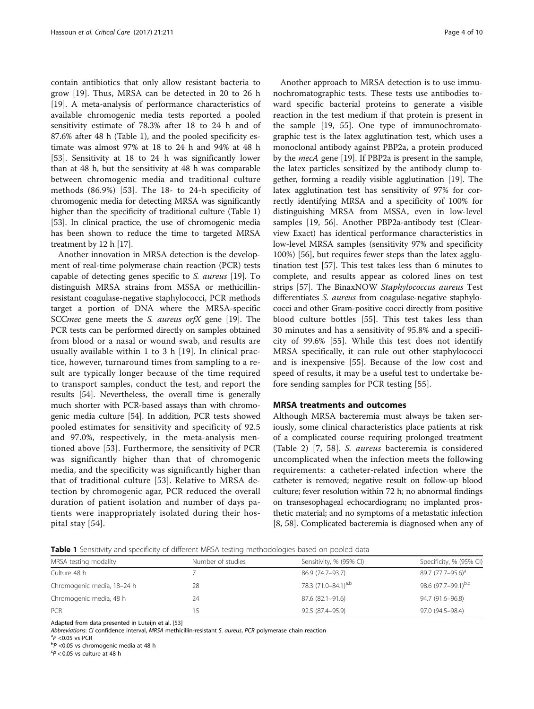<span id="page-3-0"></span>contain antibiotics that only allow resistant bacteria to grow [\[19](#page-8-0)]. Thus, MRSA can be detected in 20 to 26 h [[19\]](#page-8-0). A meta-analysis of performance characteristics of available chromogenic media tests reported a pooled sensitivity estimate of 78.3% after 18 to 24 h and of 87.6% after 48 h (Table 1), and the pooled specificity estimate was almost 97% at 18 to 24 h and 94% at 48 h [[53\]](#page-8-0). Sensitivity at 18 to 24 h was significantly lower than at 48 h, but the sensitivity at 48 h was comparable between chromogenic media and traditional culture methods (86.9%) [\[53](#page-8-0)]. The 18- to 24-h specificity of chromogenic media for detecting MRSA was significantly higher than the specificity of traditional culture (Table 1) [[53](#page-8-0)]. In clinical practice, the use of chromogenic media has been shown to reduce the time to targeted MRSA treatment by 12 h [\[17](#page-8-0)].

Another innovation in MRSA detection is the development of real-time polymerase chain reaction (PCR) tests capable of detecting genes specific to S. aureus [\[19\]](#page-8-0). To distinguish MRSA strains from MSSA or methicillinresistant coagulase-negative staphylococci, PCR methods target a portion of DNA where the MRSA-specific SCCmec gene meets the S. aureus orfX gene [\[19\]](#page-8-0). The PCR tests can be performed directly on samples obtained from blood or a nasal or wound swab, and results are usually available within 1 to 3 h [[19\]](#page-8-0). In clinical practice, however, turnaround times from sampling to a result are typically longer because of the time required to transport samples, conduct the test, and report the results [\[54\]](#page-8-0). Nevertheless, the overall time is generally much shorter with PCR-based assays than with chromogenic media culture [[54](#page-8-0)]. In addition, PCR tests showed pooled estimates for sensitivity and specificity of 92.5 and 97.0%, respectively, in the meta-analysis mentioned above [\[53\]](#page-8-0). Furthermore, the sensitivity of PCR was significantly higher than that of chromogenic media, and the specificity was significantly higher than that of traditional culture [\[53](#page-8-0)]. Relative to MRSA detection by chromogenic agar, PCR reduced the overall duration of patient isolation and number of days patients were inappropriately isolated during their hospital stay [\[54](#page-8-0)].

Another approach to MRSA detection is to use immunochromatographic tests. These tests use antibodies toward specific bacterial proteins to generate a visible reaction in the test medium if that protein is present in the sample [\[19](#page-8-0), [55](#page-8-0)]. One type of immunochromatographic test is the latex agglutination test, which uses a monoclonal antibody against PBP2a, a protein produced by the mecA gene [\[19](#page-8-0)]. If PBP2a is present in the sample, the latex particles sensitized by the antibody clump together, forming a readily visible agglutination [\[19\]](#page-8-0). The latex agglutination test has sensitivity of 97% for correctly identifying MRSA and a specificity of 100% for distinguishing MRSA from MSSA, even in low-level samples [\[19, 56\]](#page-8-0). Another PBP2a-antibody test (Clearview Exact) has identical performance characteristics in low-level MRSA samples (sensitivity 97% and specificity 100%) [[56](#page-8-0)], but requires fewer steps than the latex agglutination test [[57](#page-9-0)]. This test takes less than 6 minutes to complete, and results appear as colored lines on test strips [[57\]](#page-9-0). The BinaxNOW Staphylococcus aureus Test differentiates S. aureus from coagulase-negative staphylococci and other Gram-positive cocci directly from positive blood culture bottles [\[55](#page-8-0)]. This test takes less than 30 minutes and has a sensitivity of 95.8% and a specificity of 99.6% [\[55](#page-8-0)]. While this test does not identify MRSA specifically, it can rule out other staphylococci and is inexpensive [[55\]](#page-8-0). Because of the low cost and speed of results, it may be a useful test to undertake before sending samples for PCR testing [[55\]](#page-8-0).

# MRSA treatments and outcomes

Although MRSA bacteremia must always be taken seriously, some clinical characteristics place patients at risk of a complicated course requiring prolonged treatment (Table [2\)](#page-4-0) [\[7](#page-7-0), [58\]](#page-9-0). S. aureus bacteremia is considered uncomplicated when the infection meets the following requirements: a catheter-related infection where the catheter is removed; negative result on follow-up blood culture; fever resolution within 72 h; no abnormal findings on transesophageal echocardiogram; no implanted prosthetic material; and no symptoms of a metastatic infection [[8,](#page-7-0) [58](#page-9-0)]. Complicated bacteremia is diagnosed when any of

**Table 1** Sensitivity and specificity of different MRSA testing methodologies based on pooled data

| MRSA testing modality      | Number of studies | Sensitivity, % (95% CI)         | Specificity, % (95% CI)       |
|----------------------------|-------------------|---------------------------------|-------------------------------|
| Culture 48 h               |                   | 86.9 (74.7-93.7)                | 89.7 (77.7–95.6) <sup>a</sup> |
| Chromogenic media, 18-24 h | 28                | 78.3 (71.0-84.1) <sup>a,b</sup> | 98.6 (97.7-99.1)b,c           |
| Chromogenic media, 48 h    | 24                | 87.6 (82.1-91.6)                | 94.7 (91.6–96.8)              |
| <b>PCR</b>                 |                   | 92.5 (87.4-95.9)                | 97.0 (94.5-98.4)              |

Adapted from data presented in Luteijn et al. [[53\]](#page-8-0)

Abbreviations: CI confidence interval, MRSA methicillin-resistant S. aureus, PCR polymerase chain reaction

 $\mathrm{^{a}P}$  <0.05 vs PCR

 $\rm ^bP$  <0.05 vs chromogenic media at 48 h

 $P$  < 0.05 vs culture at 48 h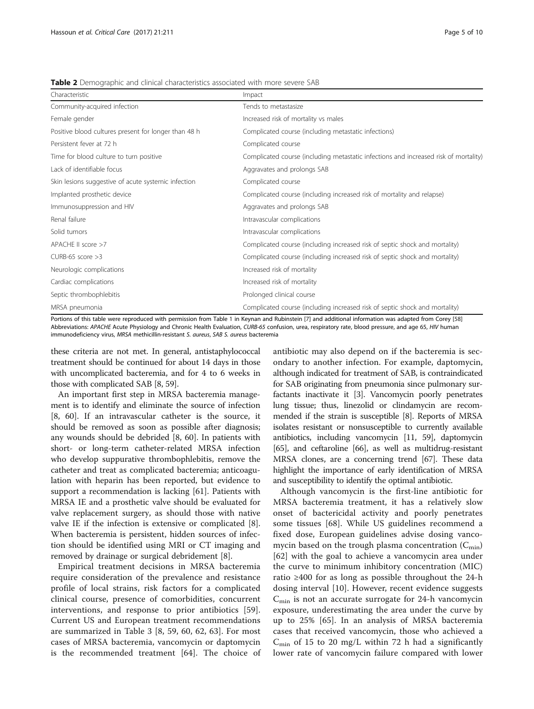<span id="page-4-0"></span>Table 2 Demographic and clinical characteristics associated with more severe SAB

| Characteristic                                       | Impact                                                                               |
|------------------------------------------------------|--------------------------------------------------------------------------------------|
| Community-acquired infection                         | Tends to metastasize                                                                 |
| Female gender                                        | Increased risk of mortality vs males                                                 |
| Positive blood cultures present for longer than 48 h | Complicated course (including metastatic infections)                                 |
| Persistent fever at 72 h                             | Complicated course                                                                   |
| Time for blood culture to turn positive              | Complicated course (including metastatic infections and increased risk of mortality) |
| Lack of identifiable focus                           | Aggravates and prolongs SAB                                                          |
| Skin lesions suggestive of acute systemic infection  | Complicated course                                                                   |
| Implanted prosthetic device                          | Complicated course (including increased risk of mortality and relapse)               |
| Immunosuppression and HIV                            | Aggravates and prolongs SAB                                                          |
| Renal failure                                        | Intravascular complications                                                          |
| Solid tumors                                         | Intravascular complications                                                          |
| APACHE II score >7                                   | Complicated course (including increased risk of septic shock and mortality)          |
| $CURB-65$ score $>3$                                 | Complicated course (including increased risk of septic shock and mortality)          |
| Neurologic complications                             | Increased risk of mortality                                                          |
| Cardiac complications                                | Increased risk of mortality                                                          |
| Septic thrombophlebitis                              | Prolonged clinical course                                                            |
| MRSA pneumonia                                       | Complicated course (including increased risk of septic shock and mortality)          |

Portions of this table were reproduced with permission from Table [1](#page-3-0) in Keynan and Rubinstein [\[7\]](#page-7-0) and additional information was adapted from Corey [[58](#page-9-0)] Abbreviations: APACHE Acute Physiology and Chronic Health Evaluation, CURB-65 confusion, urea, respiratory rate, blood pressure, and age 65, HIV human immunodeficiency virus, MRSA methicillin-resistant S. aureus, SAB S. aureus bacteremia

these criteria are not met. In general, antistaphylococcal treatment should be continued for about 14 days in those with uncomplicated bacteremia, and for 4 to 6 weeks in those with complicated SAB [\[8](#page-7-0), [59](#page-9-0)].

An important first step in MRSA bacteremia management is to identify and eliminate the source of infection [[8,](#page-7-0) [60\]](#page-9-0). If an intravascular catheter is the source, it should be removed as soon as possible after diagnosis; any wounds should be debrided [[8,](#page-7-0) [60](#page-9-0)]. In patients with short- or long-term catheter-related MRSA infection who develop suppurative thrombophlebitis, remove the catheter and treat as complicated bacteremia; anticoagulation with heparin has been reported, but evidence to support a recommendation is lacking [\[61\]](#page-9-0). Patients with MRSA IE and a prosthetic valve should be evaluated for valve replacement surgery, as should those with native valve IE if the infection is extensive or complicated [\[8](#page-7-0)]. When bacteremia is persistent, hidden sources of infection should be identified using MRI or CT imaging and removed by drainage or surgical debridement [\[8](#page-7-0)].

Empirical treatment decisions in MRSA bacteremia require consideration of the prevalence and resistance profile of local strains, risk factors for a complicated clinical course, presence of comorbidities, concurrent interventions, and response to prior antibiotics [[59](#page-9-0)]. Current US and European treatment recommendations are summarized in Table [3](#page-5-0) [\[8](#page-7-0), [59, 60](#page-9-0), [62](#page-9-0), [63\]](#page-9-0). For most cases of MRSA bacteremia, vancomycin or daptomycin is the recommended treatment [[64](#page-9-0)]. The choice of

antibiotic may also depend on if the bacteremia is secondary to another infection. For example, daptomycin, although indicated for treatment of SAB, is contraindicated for SAB originating from pneumonia since pulmonary surfactants inactivate it [[3](#page-7-0)]. Vancomycin poorly penetrates lung tissue; thus, linezolid or clindamycin are recommended if the strain is susceptible [\[8\]](#page-7-0). Reports of MRSA isolates resistant or nonsusceptible to currently available antibiotics, including vancomycin [\[11,](#page-7-0) [59\]](#page-9-0), daptomycin [[65](#page-9-0)], and ceftaroline [\[66\]](#page-9-0), as well as multidrug-resistant MRSA clones, are a concerning trend [\[67\]](#page-9-0). These data highlight the importance of early identification of MRSA and susceptibility to identify the optimal antibiotic.

Although vancomycin is the first-line antibiotic for MRSA bacteremia treatment, it has a relatively slow onset of bactericidal activity and poorly penetrates some tissues [\[68](#page-9-0)]. While US guidelines recommend a fixed dose, European guidelines advise dosing vancomycin based on the trough plasma concentration  $(C_{\text{min}})$ [[62](#page-9-0)] with the goal to achieve a vancomycin area under the curve to minimum inhibitory concentration (MIC) ratio ≥400 for as long as possible throughout the 24-h dosing interval [[10\]](#page-7-0). However, recent evidence suggests  $C_{\text{min}}$  is not an accurate surrogate for 24-h vancomycin exposure, underestimating the area under the curve by up to 25% [[65\]](#page-9-0). In an analysis of MRSA bacteremia cases that received vancomycin, those who achieved a  $C_{\text{min}}$  of 15 to 20 mg/L within 72 h had a significantly lower rate of vancomycin failure compared with lower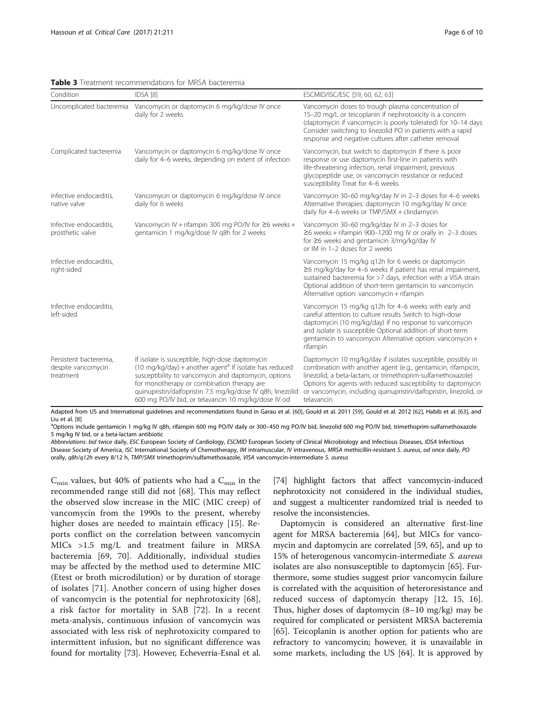<span id="page-5-0"></span>

|  |  | <b>Table 3</b> Treatment recommendations for MRSA bacteremia |  |  |
|--|--|--------------------------------------------------------------|--|--|
|--|--|--------------------------------------------------------------|--|--|

| Condition                                                 | IDSA [8]                                                                                                                                                                                                                                                                                                                                         | ESCMID/ISC/ESC [59, 60, 62, 63]                                                                                                                                                                                                                                                                                                                 |
|-----------------------------------------------------------|--------------------------------------------------------------------------------------------------------------------------------------------------------------------------------------------------------------------------------------------------------------------------------------------------------------------------------------------------|-------------------------------------------------------------------------------------------------------------------------------------------------------------------------------------------------------------------------------------------------------------------------------------------------------------------------------------------------|
| Uncomplicated bacteremia                                  | Vancomycin or daptomycin 6 mg/kg/dose IV once<br>daily for 2 weeks                                                                                                                                                                                                                                                                               | Vancomycin doses to trough plasma concentration of<br>15-20 mg/L or teicoplanin if nephrotoxicity is a concern<br>(daptomycin if vancomycin is poorly tolerated) for 10-14 days<br>Consider switching to linezolid PO in patients with a rapid<br>response and negative cultures after catheter removal                                         |
| Complicated bacteremia                                    | Vancomycin or daptomycin 6 mg/kg/dose IV once<br>daily for 4-6 weeks, depending on extent of infection                                                                                                                                                                                                                                           | Vancomycin, but switch to daptomycin if there is poor<br>response or use daptomycin first-line in patients with<br>life-threatening infection, renal impairment, previous<br>glycopeptide use, or vancomycin resistance or reduced<br>susceptibility Treat for 4-6 weeks                                                                        |
| Infective endocarditis.<br>native valve                   | Vancomycin or daptomycin 6 mg/kg/dose IV once<br>daily for 6 weeks                                                                                                                                                                                                                                                                               | Vancomycin 30-60 mg/kg/day IV in 2-3 doses for 4-6 weeks<br>Alternative therapies: daptomycin 10 mg/kg/day IV once<br>daily for 4-6 weeks or TMP/SMX + clindamycin                                                                                                                                                                              |
| Infective endocarditis,<br>prosthetic valve               | Vancomycin IV + rifampin 300 mg PO/IV for $\geq$ 6 weeks +<br>gentamicin 1 mg/kg/dose IV g8h for 2 weeks                                                                                                                                                                                                                                         | Vancomycin 30-60 mg/kg/day IV in 2-3 doses for<br>$\geq$ 6 weeks + rifampin 900-1200 mg IV or orally in 2-3 doses<br>for ≥6 weeks and gentamicin 3/mg/kg/day IV<br>or IM in 1-2 doses for 2 weeks                                                                                                                                               |
| Infective endocarditis,<br>right-sided                    |                                                                                                                                                                                                                                                                                                                                                  | Vancomycin 15 mg/kg q12h for 6 weeks or daptomycin<br>≥6 mg/kg/day for 4-6 weeks if patient has renal impairment,<br>sustained bacteremia for >7 days, infection with a VISA strain<br>Optional addition of short-term gentamicin to vancomycin<br>Alternative option: vancomycin + rifampin                                                    |
| Infective endocarditis,<br>left-sided                     |                                                                                                                                                                                                                                                                                                                                                  | Vancomycin 15 mg/kg q12h for 4-6 weeks with early and<br>careful attention to culture results Switch to high-dose<br>daptomycin (10 mg/kg/day) if no response to vancomycin<br>and isolate is susceptible Optional addition of short-term<br>gentamicin to vancomycin Alternative option: vancomycin +<br>rifampin                              |
| Persistent bacteremia,<br>despite vancomycin<br>treatment | If isolate is susceptible, high-dose daptomycin<br>(10 mg/kg/day) + another agent <sup>a</sup> If isolate has reduced<br>susceptibility to vancomycin and daptomycin, options<br>for monotherapy or combination therapy are<br>quinupristin/dalfopristin 7.5 mg/kg/dose IV q8h, linezolid<br>600 mg PO/IV bid, or telavancin 10 mg/kg/dose IV od | Daptomycin 10 mg/kg/day if isolates susceptible, possibly in<br>combination with another agent (e.g., gentamicin, rifampicin,<br>linezolid, a beta-lactam, or trimethoprim-sulfamethoxazole)<br>Options for agents with reduced susceptibility to daptomycin<br>or vancomycin, including quinupristin/dalfopristin, linezolid, or<br>telavancin |

Adapted from US and International guidelines and recommendations found in Garau et al. [[60\]](#page-9-0), Gould et al. 2011 [[59\]](#page-9-0), Gould et al. 2012 [[62\]](#page-9-0), Habib et al. [\[63](#page-9-0)], and Liu et al. [[8](#page-7-0)]

<sup>a</sup>Options include gentamicin 1 mg/kg IV q8h, rifampin 600 mg PO/IV daily or 300-450 mg PO/IV bid, linezolid 600 mg PO/IV bid, trimethoprim-sulfamethoxazole 5 mg/kg IV bid, or a beta-lactam antibiotic

Abbreviations: bid twice daily, ESC European Society of Cardiology, ESCMID European Society of Clinical Microbiology and Infectious Diseases, IDSA Infectious Disease Society of America, ISC International Society of Chemotherapy, IM intramuscular, IV intravenous, MRSA methicillin-resistant S. aureus, od once daily, PO orally, q8h/q12h every 8/12 h, TMP/SMX trimethoprim/sulfamethoxazole, VISA vancomycin-intermediate S. aureus

 $C_{\text{min}}$  values, but 40% of patients who had a  $C_{\text{min}}$  in the recommended range still did not [[68\]](#page-9-0). This may reflect the observed slow increase in the MIC (MIC creep) of vancomycin from the 1990s to the present, whereby higher doses are needed to maintain efficacy [[15\]](#page-8-0). Reports conflict on the correlation between vancomycin MICs >1.5 mg/L and treatment failure in MRSA bacteremia [\[69](#page-9-0), [70](#page-9-0)]. Additionally, individual studies may be affected by the method used to determine MIC (Etest or broth microdilution) or by duration of storage of isolates [[71\]](#page-9-0). Another concern of using higher doses of vancomycin is the potential for nephrotoxicity [\[68](#page-9-0)], a risk factor for mortality in SAB [[72\]](#page-9-0). In a recent meta-analysis, continuous infusion of vancomycin was associated with less risk of nephrotoxicity compared to intermittent infusion, but no significant difference was found for mortality [\[73](#page-9-0)]. However, Echeverria-Esnal et al. [[74](#page-9-0)] highlight factors that affect vancomycin-induced nephrotoxicity not considered in the individual studies, and suggest a multicenter randomized trial is needed to resolve the inconsistencies.

Daptomycin is considered an alternative first-line agent for MRSA bacteremia [[64](#page-9-0)], but MICs for vancomycin and daptomycin are correlated [\[59, 65](#page-9-0)], and up to 15% of heterogenous vancomycin-intermediate S. aureus isolates are also nonsusceptible to daptomycin [[65\]](#page-9-0). Furthermore, some studies suggest prior vancomycin failure is correlated with the acquisition of heteroresistance and reduced success of daptomycin therapy [\[12](#page-7-0), [15](#page-8-0), [16](#page-8-0)]. Thus, higher doses of daptomycin (8–10 mg/kg) may be required for complicated or persistent MRSA bacteremia [[65\]](#page-9-0). Teicoplanin is another option for patients who are refractory to vancomycin; however, it is unavailable in some markets, including the US [\[64](#page-9-0)]. It is approved by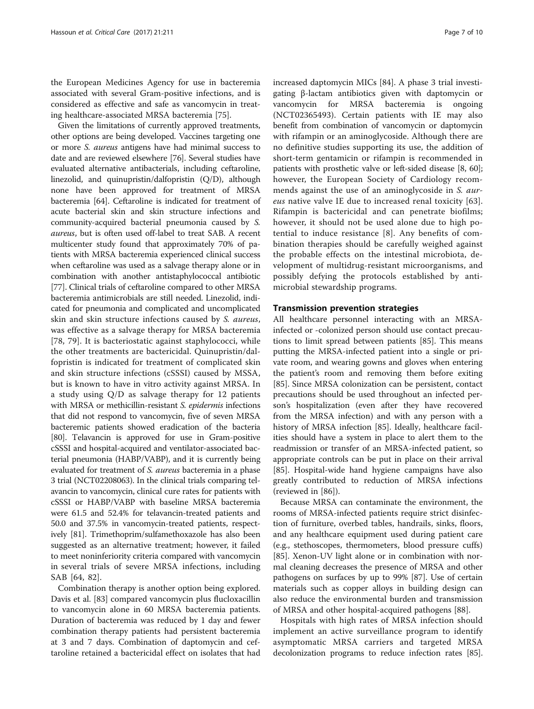the European Medicines Agency for use in bacteremia associated with several Gram-positive infections, and is considered as effective and safe as vancomycin in treating healthcare-associated MRSA bacteremia [\[75\]](#page-9-0).

Given the limitations of currently approved treatments, other options are being developed. Vaccines targeting one or more S. aureus antigens have had minimal success to date and are reviewed elsewhere [[76](#page-9-0)]. Several studies have evaluated alternative antibacterials, including ceftaroline, linezolid, and quinupristin/dalfopristin (Q/D), although none have been approved for treatment of MRSA bacteremia [\[64\]](#page-9-0). Ceftaroline is indicated for treatment of acute bacterial skin and skin structure infections and community-acquired bacterial pneumonia caused by S. aureus, but is often used off-label to treat SAB. A recent multicenter study found that approximately 70% of patients with MRSA bacteremia experienced clinical success when ceftaroline was used as a salvage therapy alone or in combination with another antistaphylococcal antibiotic [[77](#page-9-0)]. Clinical trials of ceftaroline compared to other MRSA bacteremia antimicrobials are still needed. Linezolid, indicated for pneumonia and complicated and uncomplicated skin and skin structure infections caused by S. aureus, was effective as a salvage therapy for MRSA bacteremia [[78, 79\]](#page-9-0). It is bacteriostatic against staphylococci, while the other treatments are bactericidal. Quinupristin/dalfopristin is indicated for treatment of complicated skin and skin structure infections (cSSSI) caused by MSSA, but is known to have in vitro activity against MRSA. In a study using Q/D as salvage therapy for 12 patients with MRSA or methicillin-resistant S. epidermis infections that did not respond to vancomycin, five of seven MRSA bacteremic patients showed eradication of the bacteria [[80](#page-9-0)]. Telavancin is approved for use in Gram-positive cSSSI and hospital-acquired and ventilator-associated bacterial pneumonia (HABP/VABP), and it is currently being evaluated for treatment of S. aureus bacteremia in a phase 3 trial (NCT02208063). In the clinical trials comparing telavancin to vancomycin, clinical cure rates for patients with cSSSI or HABP/VABP with baseline MRSA bacteremia were 61.5 and 52.4% for telavancin-treated patients and 50.0 and 37.5% in vancomycin-treated patients, respectively [[81](#page-9-0)]. Trimethoprim/sulfamethoxazole has also been suggested as an alternative treatment; however, it failed to meet noninferiority criteria compared with vancomycin in several trials of severe MRSA infections, including SAB [[64, 82](#page-9-0)].

Combination therapy is another option being explored. Davis et al. [[83](#page-9-0)] compared vancomycin plus flucloxacillin to vancomycin alone in 60 MRSA bacteremia patients. Duration of bacteremia was reduced by 1 day and fewer combination therapy patients had persistent bacteremia at 3 and 7 days. Combination of daptomycin and ceftaroline retained a bactericidal effect on isolates that had

increased daptomycin MICs [\[84](#page-9-0)]. A phase 3 trial investigating β-lactam antibiotics given with daptomycin or vancomycin for MRSA bacteremia is ongoing (NCT02365493). Certain patients with IE may also benefit from combination of vancomycin or daptomycin with rifampin or an aminoglycoside. Although there are no definitive studies supporting its use, the addition of short-term gentamicin or rifampin is recommended in patients with prosthetic valve or left-sided disease [\[8](#page-7-0), [60](#page-9-0)]; however, the European Society of Cardiology recommends against the use of an aminoglycoside in S. aureus native valve IE due to increased renal toxicity [[63](#page-9-0)]. Rifampin is bactericidal and can penetrate biofilms; however, it should not be used alone due to high potential to induce resistance [\[8](#page-7-0)]. Any benefits of combination therapies should be carefully weighed against the probable effects on the intestinal microbiota, development of multidrug-resistant microorganisms, and possibly defying the protocols established by antimicrobial stewardship programs.

# Transmission prevention strategies

All healthcare personnel interacting with an MRSAinfected or -colonized person should use contact precautions to limit spread between patients [\[85](#page-9-0)]. This means putting the MRSA-infected patient into a single or private room, and wearing gowns and gloves when entering the patient's room and removing them before exiting [[85\]](#page-9-0). Since MRSA colonization can be persistent, contact precautions should be used throughout an infected person's hospitalization (even after they have recovered from the MRSA infection) and with any person with a history of MRSA infection [\[85](#page-9-0)]. Ideally, healthcare facilities should have a system in place to alert them to the readmission or transfer of an MRSA-infected patient, so appropriate controls can be put in place on their arrival [[85\]](#page-9-0). Hospital-wide hand hygiene campaigns have also greatly contributed to reduction of MRSA infections (reviewed in [\[86\]](#page-9-0)).

Because MRSA can contaminate the environment, the rooms of MRSA-infected patients require strict disinfection of furniture, overbed tables, handrails, sinks, floors, and any healthcare equipment used during patient care (e.g., stethoscopes, thermometers, blood pressure cuffs) [[85\]](#page-9-0). Xenon-UV light alone or in combination with normal cleaning decreases the presence of MRSA and other pathogens on surfaces by up to 99% [[87\]](#page-9-0). Use of certain materials such as copper alloys in building design can also reduce the environmental burden and transmission of MRSA and other hospital-acquired pathogens [[88\]](#page-9-0).

Hospitals with high rates of MRSA infection should implement an active surveillance program to identify asymptomatic MRSA carriers and targeted MRSA decolonization programs to reduce infection rates [[85](#page-9-0)].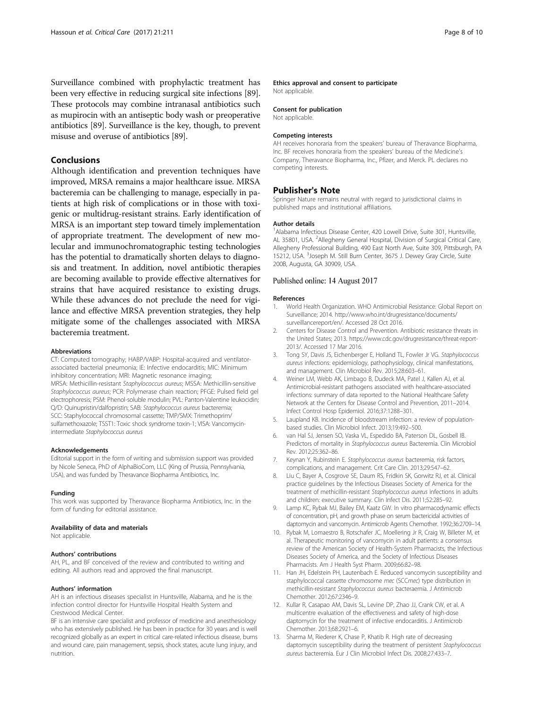<span id="page-7-0"></span>Surveillance combined with prophylactic treatment has been very effective in reducing surgical site infections [[89](#page-9-0)]. These protocols may combine intranasal antibiotics such as mupirocin with an antiseptic body wash or preoperative antibiotics [[89](#page-9-0)]. Surveillance is the key, though, to prevent misuse and overuse of antibiotics [[89](#page-9-0)].

# Conclusions

Although identification and prevention techniques have improved, MRSA remains a major healthcare issue. MRSA bacteremia can be challenging to manage, especially in patients at high risk of complications or in those with toxigenic or multidrug-resistant strains. Early identification of MRSA is an important step toward timely implementation of appropriate treatment. The development of new molecular and immunochromatographic testing technologies has the potential to dramatically shorten delays to diagnosis and treatment. In addition, novel antibiotic therapies are becoming available to provide effective alternatives for strains that have acquired resistance to existing drugs. While these advances do not preclude the need for vigilance and effective MRSA prevention strategies, they help mitigate some of the challenges associated with MRSA bacteremia treatment.

#### Abbreviations

CT: Computed tomography; HABP/VABP: Hospital-acquired and ventilatorassociated bacterial pneumonia; IE: Infective endocarditis; MIC: Minimum inhibitory concentration; MRI: Magnetic resonance imaging; MRSA: Methicillin-resistant Staphylococcus aureus; MSSA: Methicillin-sensitive Staphylococcus aureus; PCR: Polymerase chain reaction; PFGE: Pulsed field gel electrophoresis; PSM: Phenol-soluble modulin; PVL: Panton-Valentine leukocidin; Q/D: Quinupristin/dalfopristin; SAB: Staphylococcus aureus bacteremia; SCC: Staphylococcal chromosomal cassette; TMP/SMX: Trimethoprim/ sulfamethoxazole; TSST1: Toxic shock syndrome toxin-1; VISA: Vancomycinintermediate Staphylococcus aureus

#### Acknowledgements

Editorial support in the form of writing and submission support was provided by Nicole Seneca, PhD of AlphaBioCom, LLC (King of Prussia, Pennsylvania, USA), and was funded by Theravance Biopharma Antibiotics, Inc.

#### Funding

This work was supported by Theravance Biopharma Antibiotics, Inc. in the form of funding for editorial assistance.

#### Availability of data and materials

Not applicable.

#### Authors' contributions

AH, PL, and BF conceived of the review and contributed to writing and editing. All authors read and approved the final manuscript.

#### Authors' information

AH is an infectious diseases specialist in Huntsville, Alabama, and he is the infection control director for Huntsville Hospital Health System and Crestwood Medical Center.

BF is an intensive care specialist and professor of medicine and anesthesiology who has extensively published. He has been in practice for 30 years and is well recognized globally as an expert in critical care-related infectious disease, burns and wound care, pain management, sepsis, shock states, acute lung injury, and nutrition.

# Ethics approval and consent to participate

Not applicable.

### Consent for publication

Not applicable.

#### Competing interests

AH receives honoraria from the speakers' bureau of Theravance Biopharma, Inc. BF receives honoraria from the speakers' bureau of the Medicine's Company, Theravance Biopharma, Inc., Pfizer, and Merck. PL declares no competing interests.

#### Publisher's Note

Springer Nature remains neutral with regard to jurisdictional claims in published maps and institutional affiliations.

#### Author details

<sup>1</sup> Alabama Infectious Disease Center, 420 Lowell Drive, Suite 301, Huntsville AL 35801, USA. <sup>2</sup> Allegheny General Hospital, Division of Surgical Critical Care Allegheny Professional Building, 490 East North Ave, Suite 309, Pittsburgh, PA 15212, USA. <sup>3</sup>Joseph M. Still Burn Center, 3675 J. Dewey Gray Circle, Suite 200B, Augusta, GA 30909, USA.

#### Published online: 14 August 2017

#### References

- 1. World Health Organization. WHO Antimicrobial Resistance: Global Report on Surveillance; 2014. [http://www.who.int/drugresistance/documents/](http://www.who.int/drugresistance/documents/surveillancereport/en/) [surveillancereport/en/](http://www.who.int/drugresistance/documents/surveillancereport/en/). Accessed 28 Oct 2016.
- 2. Centers for Disease Control and Prevention. Antibiotic resistance threats in the United States; 2013. [https://www.cdc.gov/drugresistance/threat-report-](https://www.cdc.gov/drugresistance/threat-report-2013/)[2013/.](https://www.cdc.gov/drugresistance/threat-report-2013/) Accessed 17 Mar 2016.
- 3. Tong SY, Davis JS, Eichenberger E, Holland TL, Fowler Jr VG. Staphylococcus aureus infections: epidemiology, pathophysiology, clinical manifestations, and management. Clin Microbiol Rev. 2015;28:603–61.
- 4. Weiner LM, Webb AK, Limbago B, Dudeck MA, Patel J, Kallen AJ, et al. Antimicrobial-resistant pathogens associated with healthcare-associated infections: summary of data reported to the National Healthcare Safety Network at the Centers for Disease Control and Prevention, 2011–2014. Infect Control Hosp Epidemiol. 2016;37:1288–301.
- 5. Laupland KB. Incidence of bloodstream infection: a review of populationbased studies. Clin Microbiol Infect. 2013;19:492–500.
- 6. van Hal SJ, Jensen SO, Vaska VL, Espedido BA, Paterson DL, Gosbell IB. Predictors of mortality in Staphylococcus aureus Bacteremia. Clin Microbiol Rev. 2012;25:362–86.
- 7. Keynan Y, Rubinstein E. Staphylococcus aureus bacteremia, risk factors, complications, and management. Crit Care Clin. 2013;29:547–62.
- 8. Liu C, Bayer A, Cosgrove SE, Daum RS, Fridkin SK, Gorwitz RJ, et al. Clinical practice guidelines by the Infectious Diseases Society of America for the treatment of methicillin-resistant Staphylococcus aureus infections in adults and children: executive summary. Clin Infect Dis. 2011;52:285–92.
- 9. Lamp KC, Rybak MJ, Bailey EM, Kaatz GW. In vitro pharmacodynamic effects of concentration, pH, and growth phase on serum bactericidal activities of daptomycin and vancomycin. Antimicrob Agents Chemother. 1992;36:2709–14.
- 10. Rybak M, Lomaestro B, Rotschafer JC, Moellering Jr R, Craig W, Billeter M, et al. Therapeutic monitoring of vancomycin in adult patients: a consensus review of the American Society of Health-System Pharmacists, the Infectious Diseases Society of America, and the Society of Infectious Diseases Pharmacists. Am J Health Syst Pharm. 2009;66:82–98.
- 11. Han JH, Edelstein PH, Lautenbach E. Reduced vancomycin susceptibility and staphylococcal cassette chromosome mec (SCCmec) type distribution in methicillin-resistant Staphylococcus aureus bacteraemia. J Antimicrob Chemother. 2012;67:2346–9.
- 12. Kullar R, Casapao AM, Davis SL, Levine DP, Zhao JJ, Crank CW, et al. A multicentre evaluation of the effectiveness and safety of high-dose daptomycin for the treatment of infective endocarditis. J Antimicrob Chemother. 2013;68:2921–6.
- 13. Sharma M, Riederer K, Chase P, Khatib R. High rate of decreasing daptomycin susceptibility during the treatment of persistent Staphylococcus aureus bacteremia. Eur J Clin Microbiol Infect Dis. 2008;27:433–7.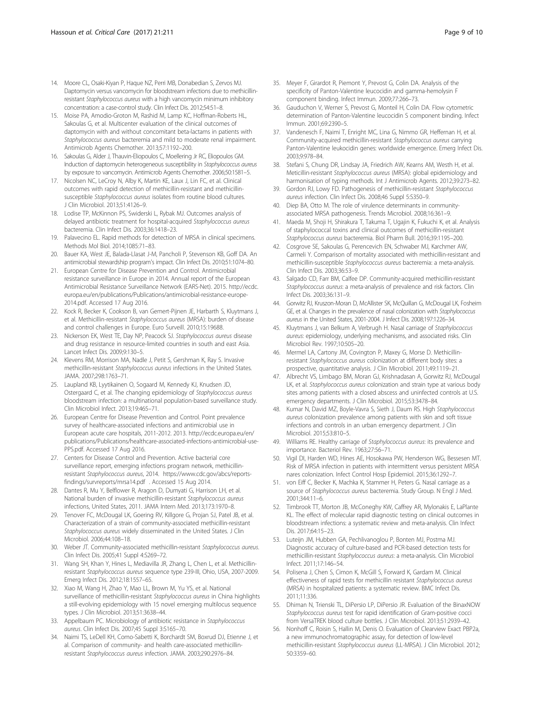- <span id="page-8-0"></span>14. Moore CL, Osaki-Kiyan P, Haque NZ, Perri MB, Donabedian S, Zervos MJ. Daptomycin versus vancomycin for bloodstream infections due to methicillinresistant Staphylococcus aureus with a high vancomycin minimum inhibitory concentration: a case-control study. Clin Infect Dis. 2012;54:51–8.
- 15. Moise PA, Amodio-Groton M, Rashid M, Lamp KC, Hoffman-Roberts HL, Sakoulas G, et al. Multicenter evaluation of the clinical outcomes of daptomycin with and without concomitant beta-lactams in patients with Staphylococcus aureus bacteremia and mild to moderate renal impairment. Antimicrob Agents Chemother. 2013;57:1192–200.
- 16. Sakoulas G, Alder J, Thauvin-Eliopoulos C, Moellering Jr RC, Eliopoulos GM. Induction of daptomycin heterogeneous susceptibility in Staphylococcus aureus by exposure to vancomycin. Antimicrob Agents Chemother. 2006;50:1581–5.
- 17. Nicolsen NC, LeCroy N, Alby K, Martin KE, Laux J, Lin FC, et al. Clinical outcomes with rapid detection of methicillin-resistant and methicillinsusceptible Staphylococcus aureus isolates from routine blood cultures. J Clin Microbiol. 2013;51:4126–9.
- 18. Lodise TP, McKinnon PS, Swiderski L, Rybak MJ. Outcomes analysis of delayed antibiotic treatment for hospital-acquired Staphylococcus aureus bacteremia. Clin Infect Dis. 2003;36:1418–23.
- 19. Palavecino EL. Rapid methods for detection of MRSA in clinical specimens. Methods Mol Biol. 2014;1085:71–83.
- 20. Bauer KA, West JE, Balada-Llasat J-M, Pancholi P, Stevenson KB, Goff DA. An antimicrobial stewardship program's impact. Clin Infect Dis. 2010;51:1074–80.
- 21. European Centre for Disease Prevention and Control. Antimicrobial resistance surveillance in Europe in 2014. Annual report of the European Antimicrobial Resistance Surveillance Network (EARS-Net). 2015. [http://ecdc.](http://ecdc.europa.eu/en/publications/Publications/antimicrobial-resistance-europe-2014.pdf) [europa.eu/en/publications/Publications/antimicrobial-resistance-europe-](http://ecdc.europa.eu/en/publications/Publications/antimicrobial-resistance-europe-2014.pdf)[2014.pdf](http://ecdc.europa.eu/en/publications/Publications/antimicrobial-resistance-europe-2014.pdf). Accessed 17 Aug 2016.
- 22. Kock R, Becker K, Cookson B, van Gemert-Pijnen JE, Harbarth S, Kluytmans J, et al. Methicillin-resistant Staphylococcus aureus (MRSA): burden of disease and control challenges in Europe. Euro Surveill. 2010;15:19688.
- 23. Nickerson EK, West TE, Day NP, Peacock SJ. Staphylococcus aureus disease and drug resistance in resource-limited countries in south and east Asia. Lancet Infect Dis. 2009;9:130–5.
- 24. Klevens RM, Morrison MA, Nadle J, Petit S, Gershman K, Ray S. Invasive methicillin-resistant Staphylococcus aureus infections in the United States. JAMA. 2007;298:1763–71.
- 25. Laupland KB, Lyytikainen O, Sogaard M, Kennedy KJ, Knudsen JD, Ostergaard C, et al. The changing epidemiology of Staphylococcus aureus bloodstream infection: a multinational population-based surveillance study. Clin Microbiol Infect. 2013;19:465–71.
- 26. European Centre for Disease Prevention and Control. Point prevalence survey of healthcare-associated infections and antimicrobial use in European acute care hospitals, 2011-2012. 2013. [http://ecdc.europa.eu/en/](http://ecdc.europa.eu/en/publications/Publications/healthcare-associated-infections-antimicrobial-use-PPS.pdf) [publications/Publications/healthcare-associated-infections-antimicrobial-use-](http://ecdc.europa.eu/en/publications/Publications/healthcare-associated-infections-antimicrobial-use-PPS.pdf)[PPS.pdf.](http://ecdc.europa.eu/en/publications/Publications/healthcare-associated-infections-antimicrobial-use-PPS.pdf) Accessed 17 Aug 2016.
- 27. Centers for Disease Control and Prevention. Active bacterial core surveillance report, emerging infections program network, methicillinresistant Staphylococcus aureus, 2014. [https://www.cdc.gov/abcs/reports](https://www.cdc.gov/abcs/reports-findings/survreports/mrsa14.pdf)[findings/survreports/mrsa14.pdf](https://www.cdc.gov/abcs/reports-findings/survreports/mrsa14.pdf) . Accessed 15 Aug 2014.
- 28. Dantes R, Mu Y, Belflower R, Aragon D, Dumyati G, Harrison LH, et al. National burden of invasive methicillin-resistant Staphylococcus aureus infections, United States, 2011. JAMA Intern Med. 2013;173:1970–8.
- 29. Tenover FC, McDougal LK, Goering RV, Killgore G, Projan SJ, Patel JB, et al. Characterization of a strain of community-associated methicillin-resistant Staphylococcus aureus widely disseminated in the United States. J Clin Microbiol. 2006;44:108–18.
- 30. Weber JT. Community-associated methicillin-resistant Staphylococcus aureus. Clin Infect Dis. 2005;41 Suppl 4:S269–72.
- 31. Wang SH, Khan Y, Hines L, Mediavilla JR, Zhang L, Chen L, et al. Methicillinresistant Staphylococcus aureus sequence type 239-III, Ohio, USA, 2007-2009. Emerg Infect Dis. 2012;18:1557–65.
- 32. Xiao M, Wang H, Zhao Y, Mao LL, Brown M, Yu YS, et al. National surveillance of methicillin-resistant Staphylococcus aureus in China highlights a still-evolving epidemiology with 15 novel emerging multilocus sequence types. J Clin Microbiol. 2013;51:3638–44.
- 33. Appelbaum PC. Microbiology of antibiotic resistance in Staphylococcus aureus. Clin Infect Dis. 2007;45 Suppl 3:S165–70.
- 34. Naimi TS, LeDell KH, Como-Sabetti K, Borchardt SM, Boxrud DJ, Etienne J, et al. Comparison of community- and health care-associated methicillinresistant Staphylococcus aureus infection. JAMA. 2003;290:2976–84.
- 35. Meyer F, Girardot R, Piemont Y, Prevost G, Colin DA. Analysis of the specificity of Panton-Valentine leucocidin and gamma-hemolysin F component binding. Infect Immun. 2009;77:266–73.
- 36. Gauduchon V, Werner S, Prevost G, Monteil H, Colin DA. Flow cytometric determination of Panton-Valentine leucocidin S component binding. Infect Immun. 2001;69:2390–5.
- 37. Vandenesch F, Naimi T, Enright MC, Lina G, Nimmo GR, Heffernan H, et al. Community-acquired methicillin-resistant Staphylococcus aureus carrying Panton-Valentine leukocidin genes: worldwide emergence. Emerg Infect Dis. 2003;9:978–84.
- 38. Stefani S, Chung DR, Lindsay JA, Friedrich AW, Kearns AM, Westh H, et al. Meticillin-resistant Staphylococcus aureus (MRSA): global epidemiology and harmonisation of typing methods. Int J Antimicrob Agents. 2012;39:273–82.
- 39. Gordon RJ, Lowy FD. Pathogenesis of methicillin-resistant Staphylococcus aureus infection. Clin Infect Dis. 2008;46 Suppl 5:S350–9.
- 40. Diep BA, Otto M. The role of virulence determinants in communityassociated MRSA pathogenesis. Trends Microbiol. 2008;16:361–9.
- 41. Maeda M, Shoji H, Shirakura T, Takuma T, Ugajin K, Fukuchi K, et al. Analysis of staphylococcal toxins and clinical outcomes of methicillin-resistant Staphylococcus aureus bacteremia. Biol Pharm Bull. 2016;39:1195–200.
- 42. Cosgrove SE, Sakoulas G, Perencevich EN, Schwaber MJ, Karchmer AW, Carmeli Y. Comparison of mortality associated with methicillin-resistant and methicillin-susceptible Staphylococcus aureus bacteremia: a meta-analysis. Clin Infect Dis. 2003;36:53–9.
- 43. Salgado CD, Farr BM, Calfee DP. Community-acquired methicillin-resistant Staphylococcus aureus: a meta-analysis of prevalence and risk factors. Clin Infect Dis. 2003;36:131–9.
- 44. Gorwitz RJ, Kruszon-Moran D, McAllister SK, McQuillan G, McDougal LK, Fosheim GE, et al. Changes in the prevalence of nasal colonization with Staphylococcus aureus in the United States, 2001-2004. J Infect Dis. 2008;197:1226–34.
- 45. Kluytmans J, van Belkum A, Verbrugh H. Nasal carriage of Staphylococcus aureus: epidemiology, underlying mechanisms, and associated risks. Clin Microbiol Rev. 1997;10:505–20.
- 46. Mermel LA, Cartony JM, Covington P, Maxey G, Morse D. Methicillinresistant Staphylococcus aureus colonization at different body sites: a prospective, quantitative analysis. J Clin Microbiol. 2011;49:1119–21.
- 47. Albrecht VS, Limbago BM, Moran GJ, Krishnadasan A, Gorwitz RJ, McDougal LK, et al. Staphylococcus aureus colonization and strain type at various body sites among patients with a closed abscess and uninfected controls at U.S. emergency departments. J Clin Microbiol. 2015;53:3478–84.
- 48. Kumar N, David MZ, Boyle-Vavra S, Sieth J, Daum RS. High Staphylococcus aureus colonization prevalence among patients with skin and soft tissue infections and controls in an urban emergency department. J Clin Microbiol. 2015;53:810–5.
- 49. Williams RE. Healthy carriage of Staphylococcus aureus: its prevalence and importance. Bacteriol Rev. 1963;27:56–71.
- 50. Vigil DI, Harden WD, Hines AE, Hosokawa PW, Henderson WG, Bessesen MT. Risk of MRSA infection in patients with intermittent versus persistent MRSA nares colonization. Infect Control Hosp Epidemiol. 2015;36:1292–7.
- 51. von Eiff C, Becker K, Machka K, Stammer H, Peters G. Nasal carriage as a source of Staphylococcus aureus bacteremia. Study Group. N Engl J Med. 2001;344:11–6.
- 52. Timbrook TT, Morton JB, McConeghy KW, Caffrey AR, Mylonakis E, LaPlante KL. The effect of molecular rapid diagnostic testing on clinical outcomes in bloodstream infections: a systematic review and meta-analysis. Clin Infect Dis. 2017;64:15–23.
- 53. Luteijn JM, Hubben GA, Pechlivanoglou P, Bonten MJ, Postma MJ. Diagnostic accuracy of culture-based and PCR-based detection tests for methicillin-resistant Staphylococcus aureus: a meta-analysis. Clin Microbiol Infect. 2011;17:146–54.
- 54. Polisena J, Chen S, Cimon K, McGill S, Forward K, Gardam M. Clinical effectiveness of rapid tests for methicillin resistant Staphylococcus aureus (MRSA) in hospitalized patients: a systematic review. BMC Infect Dis. 2011;11:336.
- 55. Dhiman N, Trienski TL, DiPersio LP, DiPersio JR. Evaluation of the BinaxNOW Staphylococcus aureus test for rapid identification of Gram-positive cocci from VersaTREK blood culture bottles. J Clin Microbiol. 2013;51:2939–42.
- 56. Nonhoff C, Roisin S, Hallin M, Denis O. Evaluation of Clearview Exact PBP2a, a new immunochromatographic assay, for detection of low-level methicillin-resistant Staphylococcus aureus (LL-MRSA). J Clin Microbiol. 2012; 50:3359–60.